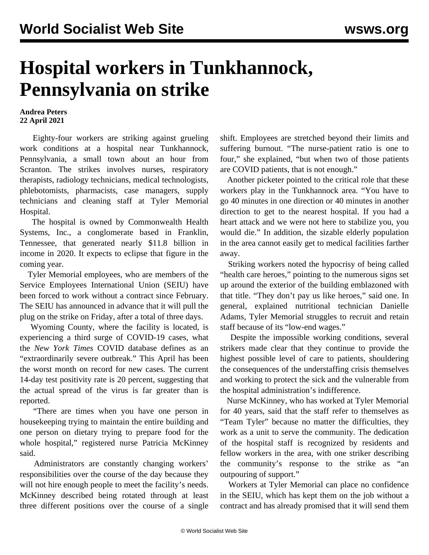## **Hospital workers in Tunkhannock, Pennsylvania on strike**

## **Andrea Peters 22 April 2021**

 Eighty-four workers are striking against grueling work conditions at a hospital near Tunkhannock, Pennsylvania, a small town about an hour from Scranton. The strikes involves nurses, respiratory therapists, radiology technicians, medical technologists, phlebotomists, pharmacists, case managers, supply technicians and cleaning staff at Tyler Memorial Hospital.

 The hospital is owned by Commonwealth Health Systems, Inc., a conglomerate based in Franklin, Tennessee, that generated nearly \$11.8 billion in income in 2020. It expects to eclipse that figure in the coming year.

 Tyler Memorial employees, who are members of the Service Employees International Union (SEIU) have been forced to work without a contract since February. The SEIU has announced in advance that it will pull the plug on the strike on Friday, after a total of three days.

 Wyoming County, where the facility is located, is experiencing a third surge of COVID-19 cases, what the *New York Times* COVID database defines as an "extraordinarily severe outbreak." This April has been the worst month on record for new cases. The current 14-day test positivity rate is 20 percent, suggesting that the actual spread of the virus is far greater than is reported.

 "There are times when you have one person in housekeeping trying to maintain the entire building and one person on dietary trying to prepare food for the whole hospital," registered nurse Patricia McKinney said.

 Administrators are constantly changing workers' responsibilities over the course of the day because they will not hire enough people to meet the facility's needs. McKinney described being rotated through at least three different positions over the course of a single

shift. Employees are stretched beyond their limits and suffering burnout. "The nurse-patient ratio is one to four," she explained, "but when two of those patients are COVID patients, that is not enough."

 Another picketer pointed to the critical role that these workers play in the Tunkhannock area. "You have to go 40 minutes in one direction or 40 minutes in another direction to get to the nearest hospital. If you had a heart attack and we were not here to stabilize you, you would die." In addition, the sizable elderly population in the area cannot easily get to medical facilities farther away.

 Striking workers noted the hypocrisy of being called "health care heroes," pointing to the numerous signs set up around the exterior of the building emblazoned with that title. "They don't pay us like heroes," said one. In general, explained nutritional technician Danielle Adams, Tyler Memorial struggles to recruit and retain staff because of its "low-end wages."

 Despite the impossible working conditions, several strikers made clear that they continue to provide the highest possible level of care to patients, shouldering the consequences of the understaffing crisis themselves and working to protect the sick and the vulnerable from the hospital administration's indifference.

 Nurse McKinney, who has worked at Tyler Memorial for 40 years, said that the staff refer to themselves as "Team Tyler" because no matter the difficulties, they work as a unit to serve the community. The dedication of the hospital staff is recognized by residents and fellow workers in the area, with one striker describing the community's response to the strike as "an outpouring of support."

 Workers at Tyler Memorial can place no confidence in the SEIU, which has kept them on the job without a contract and has already promised that it will send them